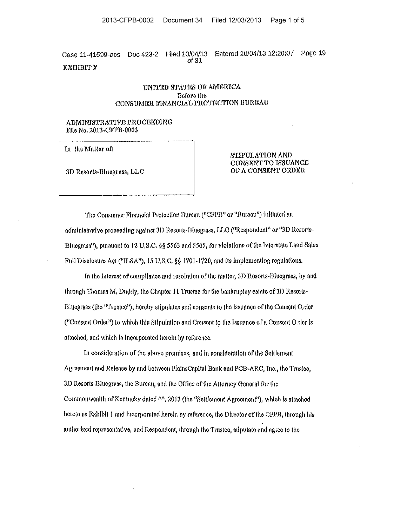Entered 10/04/13 12:20:07 Page 19 Doc 423-2 Filed 10/04/13 Case 11-41599-acs of 31 **EXHIBIT F** 

# UNITED STATES OF AMERICA Before the CONSUMER FINANCIAL PROTECTION BUREAU

# ADMINISTRATIVE PROCEEDING File No. 2013-CFPB-0002

In the Matter of

3D Reserts-Bluegrass, LLC

STIPULATION AND CONSENT TO ISSUANCE OF A CONSENT ORDER

The Consumer Financial Protection Bureau ("CFPB" or "Bureau") initiated an administrative proceeding against 3D Resorts-Binegrass, LLC ("Respondent" or "3D Resorts-Bluegrass"), pursuant to 12 U.S.C. §§ 5563 and 5565, for violations of the Interstate Land Sales Full Disolosure Act ("ILSA"), 15 U.S.C, §§ 1701-1720, and its implementing regulations.

In the interest of compliance and resolution of the matter, 3D Resorts-Bluegrass, by and through Thomas M, Duddy, the Chapter 11 Trustee for the bankruptey estate of 3D Resorts-Bluegrass (the "Trustee"), hereby stipulates and consents to the issuance of the Consent Order ("Consent Order") to which this Stipulation and Consent to the Issuance of a Consent Order is attached, and which is incorporated herein by reference,

In consideration of the above premises, and in consideration of the Settlement Agreement and Release by and between PlainsCapital Bank and PCB-ARC, Inc., the Trustee, 3D Resorts-Bluegrass, the Bureau, and the Office of the Attorney General for the Commonwealth of Kontucky dated ^^, 2013 (the "Settlement Agreement"), which is attached hereto as Exhibit 1 and incorporated herein by reference, the Director of the CPPB, through his authorized representative, and Respondent, through the Trustee, stipulate and agree to the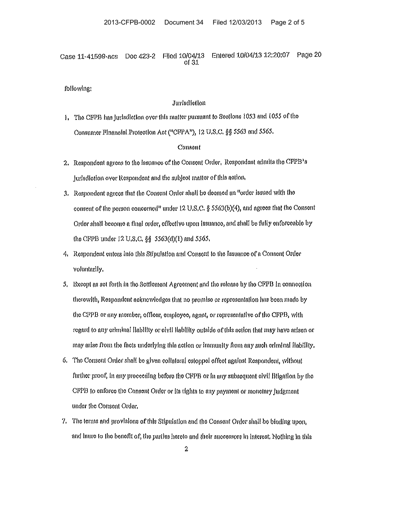Entered 10/04/13 12:20:07 Page 20 Filed 10/04/13 Case 11-41599-acs Doc 423-2 of  $31$ 

following:

#### Jurisdietion

1. The CFPB has jurisdiction over this matter pursuant to Sections 1053 and 1055 of the Consumer Financial Protection Act ("CFPA"), 12 U.S.C. §§ 5563 and 5565.

### Consont

- 2. Respondent agrees to the Issuance of the Consent Order, Respondent admits the CFPB's jurisdiction over Respondent and the subject matter of this action.
- 3. Respondent agrees that the Consent Order shall be deemed an "order issued with the consent of the person concerned" under 12 U.S.C. § 5563(b)(4), and agrees that the Consent Order shall become a final order, effective upon Issuance, and shall be fully enforceable by the CFPB under 12 U.S.C. §§ 5563(d)(1) and 5565.
- 4. Respondent enters into this Stipulation and Consent to the Issuance of a Consent Order voluntarily,
- 5. Bxcept as set forth in the Settlement Agreement and the release by the CFPB in connection therewith, Respondent acknowledges that no promise or representation has been made by the CPPB or any momber, officer, employee, agent, or representative of the CFPB, with regard to any eriminal liability or eivil liability outside of this action that may have arisen or may arise from the facts underlying this action or immunity from any such criminal Hability.
- 6. The Consent Order shall be given collateral estoppel offect against Respondent, without further proof, in any proceeding before the CFPB or in any subsequent civil litigation by the CPPB to enforce the Consent Order or its rights to any payment or monetary judgment under the Consent Order.
- 7. The terms and provisions of this Stipulation and the Consent Order shall be binding upon. and lnure to the benefit of, the parties hereto and their successors in interest. Nothing in this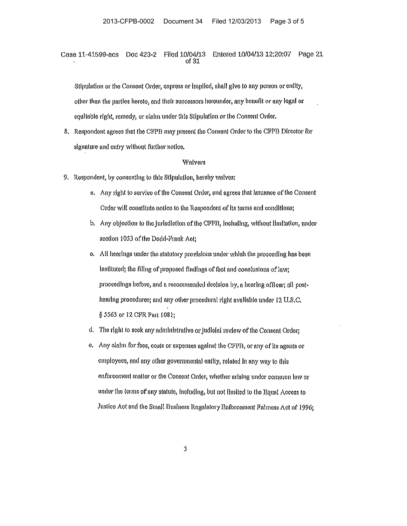Case 11-41599-acs Doc 423-2 Filed 10/04/13 Entered 10/04/13 12:20:07 Page 21  $of 31$ 

Stipulation or the Consent Order, express or implied, shall give to any person or entity, other than the partles hereto, and their successors hereunder, any benefit or any legal or equitable right, remedy, or claim under this Stipulation or the Consent Order.

8. Respondent agrees that the CFPB may present the Consent Order to the CFPB Director for signature and entry without further notice.

### Walvers

- 9. Respondent, by consenting to this Stipulation, hereby walves:
	- a. Any right to service of the Consent Order, and agrees that issuance of the Consent Order will constitute notice to the Respondent of its terms and conditions;
	- b. Any objection to the jurisdiction of the CFPB, including, without limitation, under section 1053 of the Dodd-Frank Act:
	- o. All hearings under the statutory provisions under which the proceeding has been instituted; the filing of proposed findings of fact and conclusions of law; proceedings before, and a recommended decision by, a hearing officer; all posthearing procedures; and any other procedural right available under 12 U.S.C. § 5563 or 12 CFR Part 1081;
	- d. The right to seek any administrative or judicial review of the Consent Order;
	- e. Any claim for fees, costs or expenses against the CFPB, or any of its agents or employees, and any other governmental entity, related in any way to this enforcement matter or the Consent Order, whether arising under common law or under the terms of any statute, including, but not fimited to the Equal Access to Justice Act and the Small Business Regulatory Enforcement Falmess Act of 1996;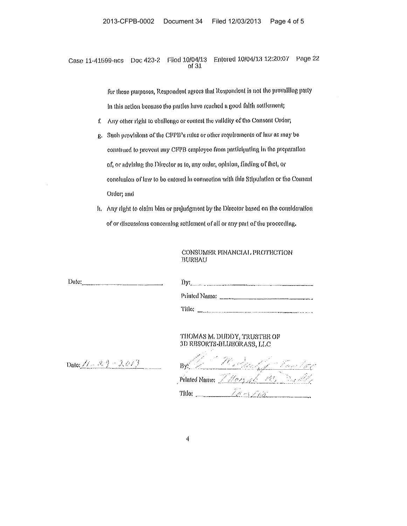Filed 10/04/13 Entered 10/04/13 12:20:07 Page 22 Doc 423-2 Case 11-41599-acs of  $31$ 

> for those purposes, Respondent agrees that Respondent is not the provalitug party In this action because the parties have reached a good faith settlement;

- f. Any other right to challenge or contest the validity of the Consent Order;
- g. Such provisions of the CFPB's rules or other requirements of law as may be construed to prevent any CFPB employee from participating in the preparation of, or advising the Director as to, any order, opinion, finding of fact, or conclusion of law to be entered in connection with this Stipulation or the Consent Order; and
- h. Any right to olaim bias or projudgment by the Director based on the consideration of or discussions concerning settlement of all or any part of the proceeding.

# CONSUMER FINANCIAL PROTECTION **BUREAU**

| Date: $\frac{1}{2}$ Date: $\frac{1}{2}$ Date: $\frac{1}{2}$ Date: $\frac{1}{2}$ Date: $\frac{1}{2}$ Date: $\frac{1}{2}$ Date: $\frac{1}{2}$ Date: $\frac{1}{2}$ Date: $\frac{1}{2}$ Date: $\frac{1}{2}$ Date: $\frac{1}{2}$ Date: $\frac{1}{2}$ Date: $\frac{1}{2}$ Date: $\frac{1}{2$ | $\frac{1}{2}$ By: |
|----------------------------------------------------------------------------------------------------------------------------------------------------------------------------------------------------------------------------------------------------------------------------------------|-------------------|
|                                                                                                                                                                                                                                                                                        |                   |
|                                                                                                                                                                                                                                                                                        |                   |
|                                                                                                                                                                                                                                                                                        |                   |

# THOMAS M. DUDDY, TRUSTEE OF 3D RESORTS-BLUEGRASS, LLC

Date:  $\angle t = \sqrt{2}$   $\frac{9}{2}$   $\angle$   $\frac{2}{9}$   $\angle$ 

By A. M. Durford Taxes Factory Printed Name: There at the Back Title: 700 Tales 2010